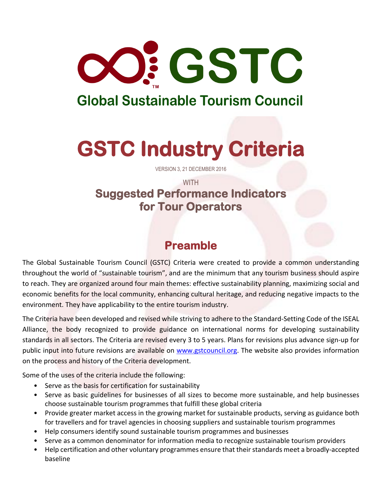

## **Global Sustainable Tourism Council**

# **GSTC Industry Criteria**

VERSION 3, 21 DECEMBER 2016

#### **WITH Suggested Performance Indicators for Tour Operators**

### **Preamble**

The Global Sustainable Tourism Council (GSTC) Criteria were created to provide a common understanding throughout the world of "sustainable tourism", and are the minimum that any tourism business should aspire to reach. They are organized around four main themes: effective sustainability planning, maximizing social and economic benefits for the local community, enhancing cultural heritage, and reducing negative impacts to the environment. They have applicability to the entire tourism industry.

The Criteria have been developed and revised while striving to adhere to the Standard-Setting Code of the ISEAL Alliance, the body recognized to provide guidance on international norms for developing sustainability standards in all sectors. The Criteria are revised every 3 to 5 years. Plans for revisions plus advance sign-up for public input into future revisions are available on [www.gstcouncil.org.](http://www.gstcouncil.org/) The website also provides information on the process and history of the Criteria development.

Some of the uses of the criteria include the following:

- Serve as the basis for certification for sustainability
- Serve as basic guidelines for businesses of all sizes to become more sustainable, and help businesses choose sustainable tourism programmes that fulfill these global criteria
- Provide greater market access in the growing market for sustainable products, serving as guidance both for travellers and for travel agencies in choosing suppliers and sustainable tourism programmes
- Help consumers identify sound sustainable tourism programmes and businesses
- Serve as a common denominator for information media to recognize sustainable tourism providers
- Help certification and other voluntary programmes ensure that their standards meet a broadly-accepted baseline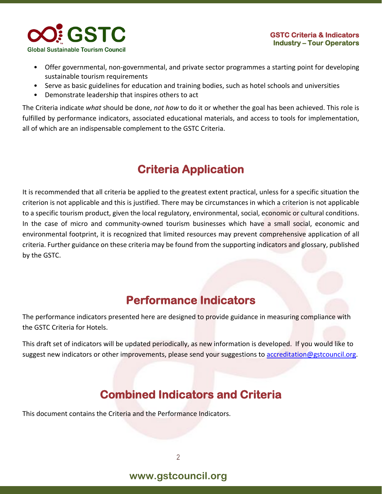

- Offer governmental, non-governmental, and private sector programmes a starting point for developing sustainable tourism requirements
- Serve as basic guidelines for education and training bodies, such as hotel schools and universities
- Demonstrate leadership that inspires others to act

The Criteria indicate *what* should be done, *not how* to do it or whether the goal has been achieved. This role is fulfilled by performance indicators, associated educational materials, and access to tools for implementation, all of which are an indispensable complement to the GSTC Criteria.

### **Criteria Application**

It is recommended that all criteria be applied to the greatest extent practical, unless for a specific situation the criterion is not applicable and this is justified. There may be circumstances in which a criterion is not applicable to a specific tourism product, given the local regulatory, environmental, social, economic or cultural conditions. In the case of micro and community-owned tourism businesses which have a small social, economic and environmental footprint, it is recognized that limited resources may prevent comprehensive application of all criteria. Further guidance on these criteria may be found from the supporting indicators and glossary, published by the GSTC.

### **Performance Indicators**

The performance indicators presented here are designed to provide guidance in measuring compliance with the GSTC Criteria for Hotels.

This draft set of indicators will be updated periodically, as new information is developed. If you would like to suggest new indicators or other improvements, please send your suggestions to [accreditation@gstcouncil.org.](mailto:accreditation@gstcouncil.org)

### **Combined Indicators and Criteria**

This document contains the Criteria and the Performance Indicators.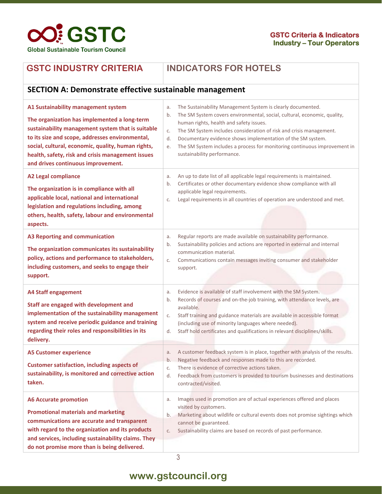

#### **GSTC INDUSTRY CRITERIA INDICATORS FOR HOTELS**

#### **SECTION A: Demonstrate effective sustainable management A1 Sustainability management system The organization has implemented a long-term sustainability management system that is suitable to its size and scope, addresses environmental, social, cultural, economic, quality, human rights, health, safety, risk and crisis management issues and drives continuous improvement.** a. The Sustainability Management System is clearly documented. b. The SM System covers environmental, social, cultural, economic, quality, human rights, health and safety issues. c. The SM System includes consideration of risk and crisis management. d. Documentary evidence shows implementation of the SM system. e. The SM System includes a process for monitoring continuous improvement in sustainability performance. **A2 Legal compliance The organization is in compliance with all applicable local, national and international legislation and regulations including, among others, health, safety, labour and environmental aspects.** a. An up to date list of all applicable legal requirements is maintained. b. Certificates or other documentary evidence show compliance with all applicable legal requirements. c. Legal requirements in all countries of operation are understood and met. **A3 Reporting and communication The organization communicates its sustainability policy, actions and performance to stakeholders, including customers, and seeks to engage their support.** a. Regular reports are made available on sustainability performance. b. Sustainability policies and actions are reported in external and internal communication material. c. Communications contain messages inviting consumer and stakeholder support. **A4 Staff engagement Staff are engaged with development and implementation of the sustainability management system and receive periodic guidance and training regarding their roles and responsibilities in its delivery.** a. Evidence is available of staff involvement with the SM System. b. Records of courses and on-the-job training, with attendance levels, are available. c. Staff training and guidance materials are available in accessible format (including use of minority languages where needed). d. Staff hold certificates and qualifications in relevant disciplines/skills. **A5 Customer experience Customer satisfaction, including aspects of sustainability, is monitored and corrective action taken.** a. A customer feedback system is in place, together with analysis of the results. b. Negative feedback and responses made to this are recorded. c. There is evidence of corrective actions taken. d. Feedback from customers is provided to tourism businesses and destinations contracted/visited. **A6 Accurate promotion Promotional materials and marketing communications are accurate and transparent with regard to the organization and its products and services, including sustainability claims. They do not promise more than is being delivered.** a. Images used in promotion are of actual experiences offered and places visited by customers. b. Marketing about wildlife or cultural events does not promise sightings which cannot be guaranteed. c. Sustainability claims are based on records of past performance.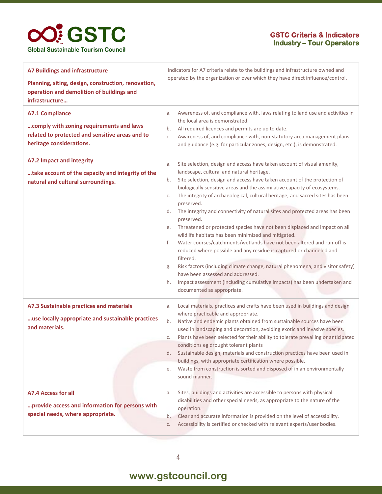#### **GSTC Criteria & Indicators Industry – Tour Operators**

| <b>A7 Buildings and infrastructure</b><br>Planning, siting, design, construction, renovation,<br>operation and demolition of buildings and<br>infrastructure | Indicators for A7 criteria relate to the buildings and infrastructure owned and<br>operated by the organization or over which they have direct influence/control.                                                                                                                                                                                                                                                                                                                                                                                                                                                                                                                                                                                                                                                                                                                                                                                                                                                                                              |
|--------------------------------------------------------------------------------------------------------------------------------------------------------------|----------------------------------------------------------------------------------------------------------------------------------------------------------------------------------------------------------------------------------------------------------------------------------------------------------------------------------------------------------------------------------------------------------------------------------------------------------------------------------------------------------------------------------------------------------------------------------------------------------------------------------------------------------------------------------------------------------------------------------------------------------------------------------------------------------------------------------------------------------------------------------------------------------------------------------------------------------------------------------------------------------------------------------------------------------------|
| <b>A7.1 Compliance</b><br>comply with zoning requirements and laws<br>related to protected and sensitive areas and to<br>heritage considerations.            | Awareness of, and compliance with, laws relating to land use and activities in<br>a.<br>the local area is demonstrated.<br>All required licences and permits are up to date.<br>b.<br>Awareness of, and compliance with, non-statutory area management plans<br>C.<br>and guidance (e.g. for particular zones, design, etc.), is demonstrated.                                                                                                                                                                                                                                                                                                                                                                                                                                                                                                                                                                                                                                                                                                                 |
| A7.2 Impact and integrity<br>take account of the capacity and integrity of the<br>natural and cultural surroundings.                                         | Site selection, design and access have taken account of visual amenity,<br>a.<br>landscape, cultural and natural heritage.<br>Site selection, design and access have taken account of the protection of<br>b.<br>biologically sensitive areas and the assimilative capacity of ecosystems.<br>The integrity of archaeological, cultural heritage, and sacred sites has been<br>C.<br>preserved.<br>The integrity and connectivity of natural sites and protected areas has been<br>d.<br>preserved.<br>Threatened or protected species have not been displaced and impact on all<br>е.<br>wildlife habitats has been minimized and mitigated.<br>Water courses/catchments/wetlands have not been altered and run-off is<br>f.<br>reduced where possible and any residue is captured or channeled and<br>filtered.<br>Risk factors (including climate change, natural phenomena, and visitor safety)<br>g.<br>have been assessed and addressed.<br>Impact assessment (including cumulative impacts) has been undertaken and<br>h.<br>documented as appropriate. |
| A7.3 Sustainable practices and materials<br>use locally appropriate and sustainable practices<br>and materials.                                              | Local materials, practices and crafts have been used in buildings and design<br>a.<br>where practicable and appropriate.<br>Native and endemic plants obtained from sustainable sources have been<br>b.<br>used in landscaping and decoration, avoiding exotic and invasive species.<br>Plants have been selected for their ability to tolerate prevailing or anticipated<br>С.<br>conditions eg drought tolerant plants<br>Sustainable design, materials and construction practices have been used in<br>d.<br>buildings, with appropriate certification where possible.<br>Waste from construction is sorted and disposed of in an environmentally<br>е.<br>sound manner.                                                                                                                                                                                                                                                                                                                                                                                    |
| <b>A7.4 Access for all</b><br>provide access and information for persons with<br>special needs, where appropriate.                                           | Sites, buildings and activities are accessible to persons with physical<br>a.<br>disabilities and other special needs, as appropriate to the nature of the<br>operation.<br>Clear and accurate information is provided on the level of accessibility.<br>b.<br>Accessibility is certified or checked with relevant experts/user bodies.<br>C.                                                                                                                                                                                                                                                                                                                                                                                                                                                                                                                                                                                                                                                                                                                  |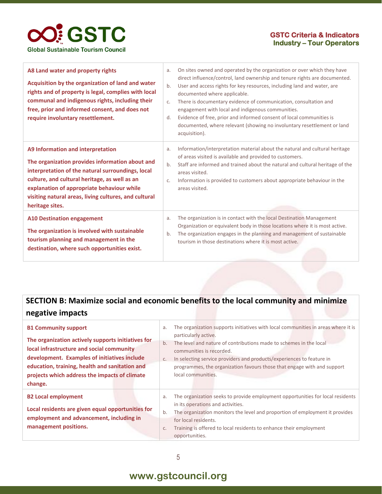

| A8 Land water and property rights<br>Acquisition by the organization of land and water<br>rights and of property is legal, complies with local<br>communal and indigenous rights, including their<br>free, prior and informed consent, and does not<br>require involuntary resettlement.                             | On sites owned and operated by the organization or over which they have<br>a.<br>direct influence/control, land ownership and tenure rights are documented.<br>b.<br>User and access rights for key resources, including land and water, are<br>documented where applicable.<br>There is documentary evidence of communication, consultation and<br>C.<br>engagement with local and indigenous communities.<br>Evidence of free, prior and informed consent of local communities is<br>d.<br>documented, where relevant (showing no involuntary resettlement or land<br>acquisition). |
|----------------------------------------------------------------------------------------------------------------------------------------------------------------------------------------------------------------------------------------------------------------------------------------------------------------------|---------------------------------------------------------------------------------------------------------------------------------------------------------------------------------------------------------------------------------------------------------------------------------------------------------------------------------------------------------------------------------------------------------------------------------------------------------------------------------------------------------------------------------------------------------------------------------------|
| A9 Information and interpretation<br>The organization provides information about and<br>interpretation of the natural surroundings, local<br>culture, and cultural heritage, as well as an<br>explanation of appropriate behaviour while<br>visiting natural areas, living cultures, and cultural<br>heritage sites. | Information/interpretation material about the natural and cultural heritage<br>a.<br>of areas visited is available and provided to customers.<br>Staff are informed and trained about the natural and cultural heritage of the<br>b.<br>areas visited.<br>Information is provided to customers about appropriate behaviour in the<br>C.<br>areas visited.                                                                                                                                                                                                                             |
| <b>A10 Destination engagement</b><br>The organization is involved with sustainable<br>tourism planning and management in the<br>destination, where such opportunities exist.                                                                                                                                         | The organization is in contact with the local Destination Management<br>a.<br>Organization or equivalent body in those locations where it is most active.<br>The organization engages in the planning and management of sustainable<br>b.<br>tourism in those destinations where it is most active.                                                                                                                                                                                                                                                                                   |

### **SECTION B: Maximize social and economic benefits to the local community and minimize negative impacts**

| <b>B1 Community support</b>                        | a.    | The organization supports initiatives with local communities in areas where it is<br>particularly active.           |
|----------------------------------------------------|-------|---------------------------------------------------------------------------------------------------------------------|
| The organization actively supports initiatives for | $b$ . | The level and nature of contributions made to schemes in the local                                                  |
| local infrastructure and social community          |       | communities is recorded.                                                                                            |
| development. Examples of initiatives include       | C.    | In selecting service providers and products/experiences to feature in                                               |
| education, training, health and sanitation and     |       | programmes, the organization favours those that engage with and support                                             |
| projects which address the impacts of climate      |       | local communities.                                                                                                  |
| change.                                            |       |                                                                                                                     |
| <b>B2 Local employment</b>                         | a.    | The organization seeks to provide employment opportunities for local residents<br>in its operations and activities. |
| Local residents are given equal opportunities for  |       |                                                                                                                     |
| employment and advancement, including in           | b.    | The organization monitors the level and proportion of employment it provides                                        |
|                                                    |       | for local residents.                                                                                                |
|                                                    |       |                                                                                                                     |
| management positions.                              | C.    | Training is offered to local residents to enhance their employment                                                  |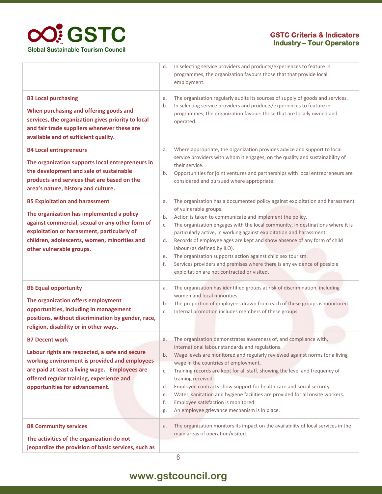

|                                                                                                                                                                                                                                                                  | In selecting service providers and products/experiences to feature in<br>programmes, the organization favours those that that provide local<br>employment.                                                                                                                                                                                                                                                                                                                                                                                                                                                                           |  |
|------------------------------------------------------------------------------------------------------------------------------------------------------------------------------------------------------------------------------------------------------------------|--------------------------------------------------------------------------------------------------------------------------------------------------------------------------------------------------------------------------------------------------------------------------------------------------------------------------------------------------------------------------------------------------------------------------------------------------------------------------------------------------------------------------------------------------------------------------------------------------------------------------------------|--|
| <b>B3 Local purchasing</b><br>When purchasing and offering goods and<br>services, the organization gives priority to local<br>and fair trade suppliers whenever these are<br>available and of sufficient quality.                                                | The organization regularly audits its sources of supply of goods and services.<br>In selecting service providers and products/experiences to feature in<br>programmes, the organization favours those that are locally owned and<br>operated.                                                                                                                                                                                                                                                                                                                                                                                        |  |
| <b>B4 Local entrepreneurs</b><br>The organization supports local entrepreneurs in<br>the development and sale of sustainable<br>products and services that are based on the<br>area's nature, history and culture.                                               | Where appropriate, the organization provides advice and support to local<br>service providers with whom it engages, on the quality and sustainability of<br>their service.<br>Opportunities for joint ventures and partnerships with local entrepreneurs are<br>considered and pursued where appropriate.                                                                                                                                                                                                                                                                                                                            |  |
| <b>B5 Exploitation and harassment</b><br>The organization has implemented a policy<br>against commercial, sexual or any other form of<br>exploitation or harassment, particularly of<br>children, adolescents, women, minorities and<br>other vulnerable groups. | The organization has a documented policy against exploitation and harassment<br>of vulnerable groups.<br>Action is taken to communicate and implement the policy.<br>The organization engages with the local community, in destinations where it is<br>particularly active, in working against exploitation and harassment.<br>Records of employee ages are kept and show absence of any form of child<br>d.<br>labour (as defined by ILO).<br>The organization supports action against child sex tourism.<br>Services providers and premises where there is any evidence of possible<br>exploitation are not contracted or visited. |  |
| <b>B6 Equal opportunity</b><br>The organization offers employment<br>opportunities, including in management<br>positions, without discrimination by gender, race,<br>religion, disability or in other ways.                                                      | The organization has identified groups at risk of discrimination, including<br>women and local minorities.<br>The proportion of employees drawn from each of these groups is monitored.<br>Internal promotion includes members of these groups.                                                                                                                                                                                                                                                                                                                                                                                      |  |
| <b>B7 Decent work</b><br>Labour rights are respected, a safe and secure<br>working environment is provided and employees<br>are paid at least a living wage. Employees are<br>offered regular training, experience and<br>opportunities for advancement.         | The organization demonstrates awareness of, and compliance with,<br>a.<br>international labour standards and regulations.<br>Wage levels are monitored and regularly reviewed against norms for a living<br>wage in the countries of employment,<br>Training records are kept for all staff, showing the level and frequency of<br>training received.<br>Employee contracts show support for health care and social security.<br>Water, sanitation and hygiene facilities are provided for all onsite workers.<br>Employee satisfaction is monitored.<br>An employee grievance mechanism is in place.                                |  |
| <b>B8 Community services</b><br>The activities of the organization do not<br>jeopardize the provision of basic services, such as                                                                                                                                 | The organization monitors its impact on the availability of local services in the<br>main areas of operation/visited.                                                                                                                                                                                                                                                                                                                                                                                                                                                                                                                |  |

6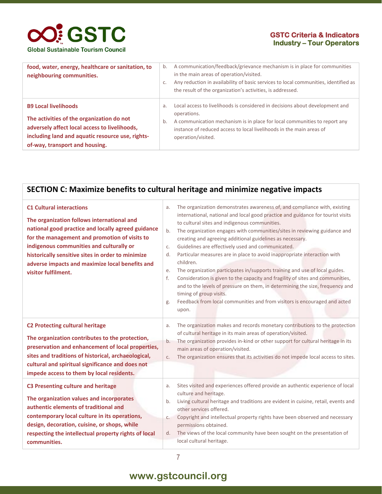#### **GSTC Criteria & Indicators Industry – Tour Operators**

| food, water, energy, healthcare or sanitation, to<br>neighbouring communities.                                                                                                                                  | b.<br>C. | A communication/feedback/grievance mechanism is in place for communities<br>in the main areas of operation/visited.<br>Any reduction in availability of basic services to local communities, identified as<br>the result of the organization's activities, is addressed. |
|-----------------------------------------------------------------------------------------------------------------------------------------------------------------------------------------------------------------|----------|--------------------------------------------------------------------------------------------------------------------------------------------------------------------------------------------------------------------------------------------------------------------------|
| <b>B9 Local livelihoods</b><br>The activities of the organization do not<br>adversely affect local access to livelihoods,<br>including land and aquatic resource use, rights-<br>of-way, transport and housing. | a.<br>b. | Local access to livelihoods is considered in decisions about development and<br>operations.<br>A communication mechanism is in place for local communities to report any<br>instance of reduced access to local livelihoods in the main areas of<br>operation/visited.   |

| SECTION C: Maximize benefits to cultural heritage and minimize negative impacts                                                                                                                                                                                                                                                                                 |                                                                                                                                                                                                                                                                                                                                                                                                                                                                                                                                                                                                                                                                                                                                                                                                                                                                                                                    |  |
|-----------------------------------------------------------------------------------------------------------------------------------------------------------------------------------------------------------------------------------------------------------------------------------------------------------------------------------------------------------------|--------------------------------------------------------------------------------------------------------------------------------------------------------------------------------------------------------------------------------------------------------------------------------------------------------------------------------------------------------------------------------------------------------------------------------------------------------------------------------------------------------------------------------------------------------------------------------------------------------------------------------------------------------------------------------------------------------------------------------------------------------------------------------------------------------------------------------------------------------------------------------------------------------------------|--|
| <b>C1 Cultural interactions</b><br>The organization follows international and<br>national good practice and locally agreed guidance<br>for the management and promotion of visits to<br>indigenous communities and culturally or<br>historically sensitive sites in order to minimize<br>adverse impacts and maximize local benefits and<br>visitor fulfilment. | The organization demonstrates awareness of, and compliance with, existing<br>a.<br>international, national and local good practice and guidance for tourist visits<br>to cultural sites and indigenous communities.<br>The organization engages with communities/sites in reviewing guidance and<br>b.<br>creating and agreeing additional guidelines as necessary.<br>Guidelines are effectively used and communicated.<br>C.<br>Particular measures are in place to avoid inappropriate interaction with<br>d.<br>children.<br>The organization participates in/supports training and use of local guides.<br>е.<br>f.<br>Consideration is given to the capacity and fragility of sites and communities,<br>and to the levels of pressure on them, in determining the size, frequency and<br>timing of group visits.<br>Feedback from local communities and from visitors is encouraged and acted<br>g.<br>upon. |  |
| <b>C2 Protecting cultural heritage</b><br>The organization contributes to the protection,<br>preservation and enhancement of local properties,<br>sites and traditions of historical, archaeological,<br>cultural and spiritual significance and does not<br>impede access to them by local residents.                                                          | The organization makes and records monetary contributions to the protection<br>a.<br>of cultural heritage in its main areas of operation/visited.<br>The organization provides in-kind or other support for cultural heritage in its<br>b.<br>main areas of operation/visited.<br>The organization ensures that its activities do not impede local access to sites.<br>C.                                                                                                                                                                                                                                                                                                                                                                                                                                                                                                                                          |  |
| <b>C3 Presenting culture and heritage</b><br>The organization values and incorporates<br>authentic elements of traditional and<br>contemporary local culture in its operations,<br>design, decoration, cuisine, or shops, while<br>respecting the intellectual property rights of local<br>communities.                                                         | Sites visited and experiences offered provide an authentic experience of local<br>a.<br>culture and heritage.<br>Living cultural heritage and traditions are evident in cuisine, retail, events and<br>b.<br>other services offered.<br>Copyright and intellectual property rights have been observed and necessary<br>C.<br>permissions obtained.<br>The views of the local community have been sought on the presentation of<br>d.<br>local cultural heritage.                                                                                                                                                                                                                                                                                                                                                                                                                                                   |  |

### **www.gstcouncil.org**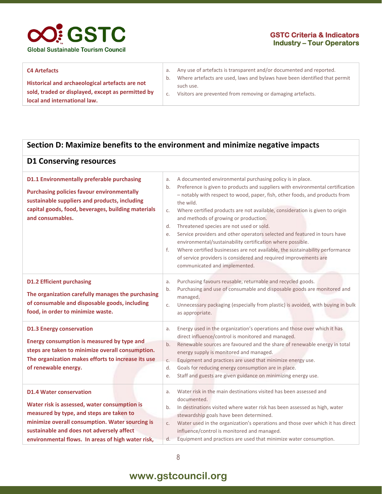

#### **C4 Artefacts**

**Historical and archaeological artefacts are not sold, traded or displayed, except as permitted by local and international law.**

- a. Any use of artefacts is transparent and/or documented and reported.
- b. Where artefacts are used, laws and bylaws have been identified that permit such use.
- c. Visitors are prevented from removing or damaging artefacts.

#### **Section D: Maximize benefits to the environment and minimize negative impacts**

| <b>D1 Conserving resources</b>                                                                                                                                                                                                                                                  |                                                                                                                                                                                                                                                                                                                                                                                                                                                                                                                                                                                                                                                                                                                                                                                  |
|---------------------------------------------------------------------------------------------------------------------------------------------------------------------------------------------------------------------------------------------------------------------------------|----------------------------------------------------------------------------------------------------------------------------------------------------------------------------------------------------------------------------------------------------------------------------------------------------------------------------------------------------------------------------------------------------------------------------------------------------------------------------------------------------------------------------------------------------------------------------------------------------------------------------------------------------------------------------------------------------------------------------------------------------------------------------------|
| D1.1 Environmentally preferable purchasing<br><b>Purchasing policies favour environmentally</b><br>sustainable suppliers and products, including<br>capital goods, food, beverages, building materials<br>and consumables.                                                      | A documented environmental purchasing policy is in place.<br>a.<br>Preference is given to products and suppliers with environmental certification<br>b.<br>- notably with respect to wood, paper, fish, other foods, and products from<br>the wild.<br>Where certified products are not available, consideration is given to origin<br>C.<br>and methods of growing or production.<br>Threatened species are not used or sold.<br>d.<br>Service providers and other operators selected and featured in tours have<br>e.<br>environmental/sustainability certification where possible.<br>f.<br>Where certified businesses are not available, the sustainability performance<br>of service providers is considered and required improvements are<br>communicated and implemented. |
| <b>D1.2 Efficient purchasing</b><br>The organization carefully manages the purchasing<br>of consumable and disposable goods, including<br>food, in order to minimize waste.                                                                                                     | Purchasing favours reusable, returnable and recycled goods.<br>a.<br>Purchasing and use of consumable and disposable goods are monitored and<br>b.<br>managed.<br>Unnecessary packaging (especially from plastic) is avoided, with buying in bulk<br>C.<br>as appropriate.                                                                                                                                                                                                                                                                                                                                                                                                                                                                                                       |
| <b>D1.3 Energy conservation</b><br>Energy consumption is measured by type and<br>steps are taken to minimize overall consumption.<br>The organization makes efforts to increase its use<br>of renewable energy.                                                                 | Energy used in the organization's operations and those over which it has<br>a.<br>direct influence/control is monitored and managed.<br>b.<br>Renewable sources are favoured and the share of renewable energy in total<br>energy supply is monitored and managed.<br>Equipment and practices are used that minimize energy use.<br>C.<br>d.<br>Goals for reducing energy consumption are in place.<br>Staff and guests are given guidance on minimizing energy use.<br>е.                                                                                                                                                                                                                                                                                                       |
| <b>D1.4 Water conservation</b><br>Water risk is assessed, water consumption is<br>measured by type, and steps are taken to<br>minimize overall consumption. Water sourcing is<br>sustainable and does not adversely affect<br>environmental flows. In areas of high water risk, | Water risk in the main destinations visited has been assessed and<br>a.<br>documented.<br>In destinations visited where water risk has been assessed as high, water<br>b.<br>stewardship goals have been determined.<br>Water used in the organization's operations and those over which it has direct<br>C.<br>influence/control is monitored and managed.<br>Equipment and practices are used that minimize water consumption.<br>d.                                                                                                                                                                                                                                                                                                                                           |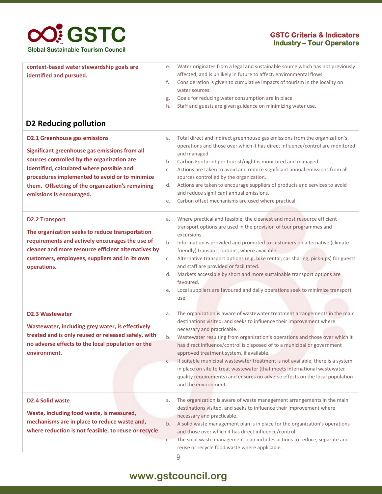#### **GSTC Criteria & Indicators Industry – Tour Operators**

| context-based water stewardship goals are<br>identified and pursued.                                                                                                                                                                                                                                               | Water originates from a legal and sustainable source which has not previously<br>е.<br>affected, and is unlikely in future to affect, environmental flows.<br>Consideration is given to cumulative impacts of tourism in the locality on<br>f.<br>water sources.<br>Goals for reducing water consumption are in place.<br>g.<br>Staff and guests are given guidance on minimizing water use.<br>h.                                                                                                                                                                                                                                                                               |
|--------------------------------------------------------------------------------------------------------------------------------------------------------------------------------------------------------------------------------------------------------------------------------------------------------------------|----------------------------------------------------------------------------------------------------------------------------------------------------------------------------------------------------------------------------------------------------------------------------------------------------------------------------------------------------------------------------------------------------------------------------------------------------------------------------------------------------------------------------------------------------------------------------------------------------------------------------------------------------------------------------------|
| D2 Reducing pollution                                                                                                                                                                                                                                                                                              |                                                                                                                                                                                                                                                                                                                                                                                                                                                                                                                                                                                                                                                                                  |
| <b>D2.1 Greenhouse gas emissions</b><br>Significant greenhouse gas emissions from all<br>sources controlled by the organization are<br>identified, calculated where possible and<br>procedures implemented to avoid or to minimize<br>them. Offsetting of the organization's remaining<br>emissions is encouraged. | Total direct and indirect greenhouse gas emissions from the organization's<br>a.<br>operations and those over which it has direct influence/control are monitored<br>and managed.<br>Carbon Footprint per tourist/night is monitored and managed.<br>b.<br>Actions are taken to avoid and reduce significant annual emissions from all<br>C.<br>sources controlled by the organization.<br>Actions are taken to encourage suppliers of products and services to avoid<br>d.<br>and reduce significant annual emissions.<br>Carbon offset mechanisms are used where practical.<br>е.                                                                                              |
| <b>D2.2 Transport</b><br>The organization seeks to reduce transportation<br>requirements and actively encourages the use of<br>cleaner and more resource efficient alternatives by<br>customers, employees, suppliers and in its own<br>operations.                                                                | Where practical and feasible, the cleanest and most resource efficient<br>a.<br>transport options are used in the provision of tour programmes and<br>excursions.<br>Information is provided and promoted to customers on alternative (climate<br>b.<br>friendly) transport options, where available.<br>Alternative transport options (e.g. bike rental, car sharing, pick-ups) for guests<br>C.<br>and staff are provided or facilitated.<br>Markets accessible by short and more sustainable transport options are<br>d.<br>favoured.<br>Local suppliers are favoured and daily operations seek to minimize transport<br>е.<br>use.                                           |
| <b>D2.3 Wastewater</b><br>Wastewater, including grey water, is effectively<br>treated and is only reused or released safely, with<br>no adverse effects to the local population or the<br>environment.                                                                                                             | The organization is aware of wastewater treatment arrangements in the main<br>a.<br>destinations visited, and seeks to influence their improvement where<br>necessary and practicable.<br>Wastewater resulting from organization's operations and those over which it<br>b.<br>has direct influence/control is disposed of to a municipal or government<br>approved treatment system, if available.<br>If suitable municipal wastewater treatment is not available, there is a system<br>C.<br>in place on site to treat wastewater (that meets international wastewater<br>quality requirements) and ensures no adverse effects on the local population<br>and the environment. |
| <b>D2.4 Solid waste</b><br>Waste, including food waste, is measured,<br>mechanisms are in place to reduce waste and,<br>where reduction is not feasible, to reuse or recycle                                                                                                                                       | The organization is aware of waste management arrangements in the main<br>a.<br>destinations visited, and seeks to influence their improvement where<br>necessary and practicable.<br>A solid waste management plan is in place for the organization's operations<br>b.<br>and those over which it has direct influence/control.<br>The solid waste management plan includes actions to reduce, separate and<br>C.                                                                                                                                                                                                                                                               |

### **www.gstcouncil.org**

9

reuse or recycle food waste where applicable.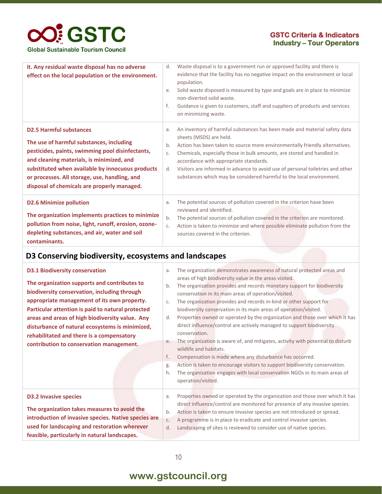#### **GSTC Criteria & Indicators Industry – Tour Operators**

| it. Any residual waste disposal has no adverse<br>effect on the local population or the environment.                                                                                                                                                                                                                            | d.<br>e.<br>f.       | Waste disposal is to a government run or approved facility and there is<br>evidence that the facility has no negative impact on the environment or local<br>population.<br>Solid waste disposed is measured by type and goals are in place to minimize<br>non-diverted solid waste.<br>Guidance is given to customers, staff and suppliers of products and services<br>on minimizing waste.                                                                       |
|---------------------------------------------------------------------------------------------------------------------------------------------------------------------------------------------------------------------------------------------------------------------------------------------------------------------------------|----------------------|-------------------------------------------------------------------------------------------------------------------------------------------------------------------------------------------------------------------------------------------------------------------------------------------------------------------------------------------------------------------------------------------------------------------------------------------------------------------|
| <b>D2.5 Harmful substances</b><br>The use of harmful substances, including<br>pesticides, paints, swimming pool disinfectants,<br>and cleaning materials, is minimized, and<br>substituted when available by innocuous products<br>or processes. All storage, use, handling, and<br>disposal of chemicals are properly managed. | a.<br>b.<br>C.<br>d. | An inventory of harmful substances has been made and material safety data<br>sheets (MSDS) are held.<br>Action has been taken to source more environmentally friendly alternatives.<br>Chemicals, especially those in bulk amounts, are stored and handled in<br>accordance with appropriate standards.<br>Visitors are informed in advance to avoid use of personal toiletries and other<br>substances which may be considered harmful to the local environment. |
| <b>D2.6 Minimize pollution</b><br>The organization implements practices to minimize<br>pollution from noise, light, runoff, erosion, ozone-<br>depleting substances, and air, water and soil<br>contaminants.                                                                                                                   | a.<br>b.<br>C.       | The potential sources of pollution covered in the criterion have been<br>reviewed and identified.<br>The potential sources of pollution covered in the criterion are monitored.<br>Action is taken to minimize and where possible eliminate pollution from the<br>sources covered in the criterion.                                                                                                                                                               |

#### **D3 Conserving biodiversity, ecosystems and landscapes**

| <b>D3.1 Biodiversity conservation</b><br>The organization supports and contributes to                                                                                                       | a.<br>b.                   | The organization demonstrates awareness of natural protected areas and<br>areas of high biodiversity value in the areas visited.<br>The organization provides and records monetary support for biodiversity                                                                                                                                                                                                                                                                                                                        |
|---------------------------------------------------------------------------------------------------------------------------------------------------------------------------------------------|----------------------------|------------------------------------------------------------------------------------------------------------------------------------------------------------------------------------------------------------------------------------------------------------------------------------------------------------------------------------------------------------------------------------------------------------------------------------------------------------------------------------------------------------------------------------|
| biodiversity conservation, including through<br>appropriate management of its own property.<br>Particular attention is paid to natural protected                                            | C.                         | conservation in its main areas of operation/visited.<br>The organization provides and records in-kind or other support for<br>biodiversity conservation in its main areas of operation/visited.                                                                                                                                                                                                                                                                                                                                    |
| areas and areas of high biodiversity value. Any<br>disturbance of natural ecosystems is minimized,<br>rehabilitated and there is a compensatory<br>contribution to conservation management. | d.<br>е.<br>f.<br>g.<br>h. | Properties owned or operated by the organization and those over which it has<br>direct influence/control are actively managed to support biodiversity<br>conservation.<br>The organization is aware of, and mitigates, activity with potential to disturb<br>wildlife and habitats.<br>Compensation is made where any disturbance has occurred.<br>Action is taken to encourage visitors to support biodiversity conservation.<br>The organization engages with local conservation NGOs in its main areas of<br>operation/visited. |
| <b>D3.2 Invasive species</b>                                                                                                                                                                | a.                         | Properties owned or operated by the organization and those over which it has<br>direct influence/control are monitored for presence of any invasive species.                                                                                                                                                                                                                                                                                                                                                                       |
| The organization takes measures to avoid the<br>introduction of invasive species. Native species are<br>used for landscaping and restoration wherever                                       | b.<br>C.<br>d.             | Action is taken to ensure invasive species are not introduced or spread.<br>A programme is in place to eradicate and control invasive species.<br>Landscaping of sites is reviewed to consider use of native species.                                                                                                                                                                                                                                                                                                              |
| feasible, particularly in natural landscapes.                                                                                                                                               |                            |                                                                                                                                                                                                                                                                                                                                                                                                                                                                                                                                    |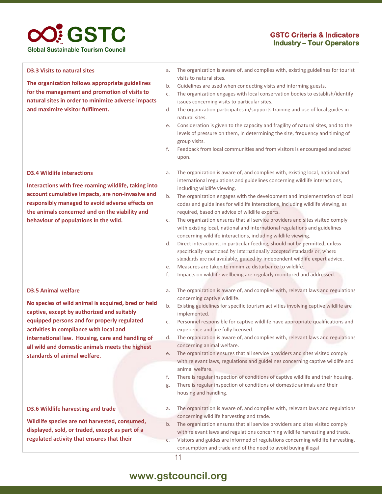

| <b>D3.3 Visits to natural sites</b><br>The organization follows appropriate guidelines<br>for the management and promotion of visits to<br>natural sites in order to minimize adverse impacts<br>and maximize visitor fulfilment.                                                                                                                                | The organization is aware of, and complies with, existing guidelines for tourist<br>a.<br>visits to natural sites.<br>Guidelines are used when conducting visits and informing guests.<br>b.<br>The organization engages with local conservation bodies to establish/identify<br>C.<br>issues concerning visits to particular sites.<br>The organization participates in/supports training and use of local guides in<br>d.<br>natural sites.<br>Consideration is given to the capacity and fragility of natural sites, and to the<br>е.<br>levels of pressure on them, in determining the size, frequency and timing of<br>group visits.<br>f.<br>Feedback from local communities and from visitors is encouraged and acted<br>upon.                                                                                                                                                                                                                                                                                                                     |
|------------------------------------------------------------------------------------------------------------------------------------------------------------------------------------------------------------------------------------------------------------------------------------------------------------------------------------------------------------------|-----------------------------------------------------------------------------------------------------------------------------------------------------------------------------------------------------------------------------------------------------------------------------------------------------------------------------------------------------------------------------------------------------------------------------------------------------------------------------------------------------------------------------------------------------------------------------------------------------------------------------------------------------------------------------------------------------------------------------------------------------------------------------------------------------------------------------------------------------------------------------------------------------------------------------------------------------------------------------------------------------------------------------------------------------------|
| <b>D3.4 Wildlife interactions</b><br>Interactions with free roaming wildlife, taking into<br>account cumulative impacts, are non-invasive and<br>responsibly managed to avoid adverse effects on<br>the animals concerned and on the viability and<br>behaviour of populations in the wild.                                                                      | The organization is aware of, and complies with, existing local, national and<br>a.<br>international regulations and guidelines concerning wildlife interactions,<br>including wildlife viewing.<br>The organization engages with the development and implementation of local<br>b.<br>codes and guidelines for wildlife interactions, including wildlife viewing, as<br>required, based on advice of wildlife experts.<br>The organization ensures that all service providers and sites visited comply<br>C.<br>with existing local, national and international regulations and guidelines<br>concerning wildlife interactions, including wildlife viewing.<br>Direct interactions, in particular feeding, should not be permitted, unless<br>d.<br>specifically sanctioned by internationally accepted standards or, where<br>standards are not available, guided by independent wildlife expert advice.<br>Measures are taken to minimize disturbance to wildlife.<br>e.<br>f.<br>Impacts on wildlife wellbeing are regularly monitored and addressed. |
| <b>D3.5 Animal welfare</b><br>No species of wild animal is acquired, bred or held<br>captive, except by authorized and suitably<br>equipped persons and for properly regulated<br>activities in compliance with local and<br>international law. Housing, care and handling of<br>all wild and domestic animals meets the highest<br>standards of animal welfare. | The organization is aware of, and complies with, relevant laws and regulations<br>a.<br>concerning captive wildlife.<br>Existing guidelines for specific tourism activities involving captive wildlife are<br>b.<br>implemented.<br>Personnel responsible for captive wildlife have appropriate qualifications and<br>C.<br>experience and are fully licensed.<br>The organization is aware of, and complies with, relevant laws and regulations<br>d.<br>concerning animal welfare.<br>The organization ensures that all service providers and sites visited comply<br>e.<br>with relevant laws, regulations and guidelines concerning captive wildlife and<br>animal welfare.<br>There is regular inspection of conditions of captive wildlife and their housing.<br>f.<br>There is regular inspection of conditions of domestic animals and their<br>g.<br>housing and handling.                                                                                                                                                                       |
| <b>D3.6 Wildlife harvesting and trade</b><br>Wildlife species are not harvested, consumed,<br>displayed, sold, or traded, except as part of a<br>regulated activity that ensures that their                                                                                                                                                                      | The organization is aware of, and complies with, relevant laws and regulations<br>a.<br>concerning wildlife harvesting and trade.<br>The organization ensures that all service providers and sites visited comply<br>b.<br>with relevant laws and regulations concerning wildlife harvesting and trade.<br>Visitors and guides are informed of regulations concerning wildlife harvesting,<br>C.<br>consumption and trade and of the need to avoid buying illegal                                                                                                                                                                                                                                                                                                                                                                                                                                                                                                                                                                                         |

### **www.gstcouncil.org**